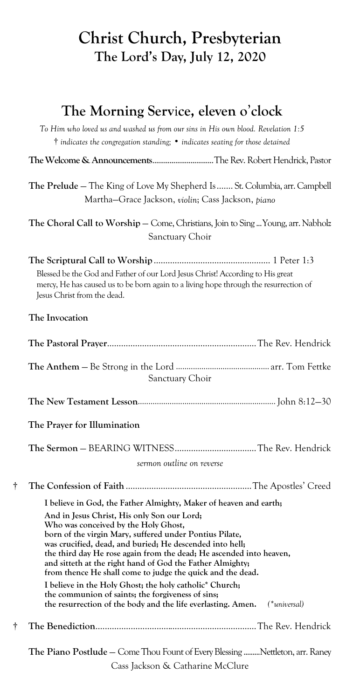# **Christ Church, Presbyterian The Lord's Day, July 12, 2020**

## **The Morning Serv**i**ce, eleven o**'**clock**

*To Him who loved us and washed us from our sins in His own blood. Revelation 1:5* † *indicates the congregation standing;* • *indicates seating for those detained*

**The Welcome & Announcements**................................The Rev. Robert Hendrick, Pastor

**The Prelude** — The King of Love My Shepherd Is....... St. Columbia, arr. Campbell Martha—Grace Jackson, *violin*; Cass Jackson, *piano*

The Choral Call to Worship - Come, Christians, Join to Sing ... Young, arr. Nabholz Sanctuary Choir

|   | Blessed be the God and Father of our Lord Jesus Christ! According to His great<br>mercy, He has caused us to be born again to a living hope through the resurrection of<br>Jesus Christ from the dead.                                                                                                                                                                                                       |
|---|--------------------------------------------------------------------------------------------------------------------------------------------------------------------------------------------------------------------------------------------------------------------------------------------------------------------------------------------------------------------------------------------------------------|
|   | The Invocation                                                                                                                                                                                                                                                                                                                                                                                               |
|   |                                                                                                                                                                                                                                                                                                                                                                                                              |
|   | Sanctuary Choir                                                                                                                                                                                                                                                                                                                                                                                              |
|   |                                                                                                                                                                                                                                                                                                                                                                                                              |
|   | The Prayer for Illumination                                                                                                                                                                                                                                                                                                                                                                                  |
|   |                                                                                                                                                                                                                                                                                                                                                                                                              |
|   | sermon outline on reverse                                                                                                                                                                                                                                                                                                                                                                                    |
| t |                                                                                                                                                                                                                                                                                                                                                                                                              |
|   | I believe in God, the Father Almighty, Maker of heaven and earth;                                                                                                                                                                                                                                                                                                                                            |
|   | And in Jesus Christ, His only Son our Lord;<br>Who was conceived by the Holy Ghost,<br>born of the virgin Mary, suffered under Pontius Pilate,<br>was crucified, dead, and buried; He descended into hell;<br>the third day He rose again from the dead; He ascended into heaven,<br>and sitteth at the right hand of God the Father Almighty;<br>from thence He shall come to judge the quick and the dead. |
|   | I believe in the Holy Ghost; the holy catholic* Church;<br>the communion of saints; the forgiveness of sins;<br>the resurrection of the body and the life everlasting. Amen.<br>$(*universal)$                                                                                                                                                                                                               |
| t |                                                                                                                                                                                                                                                                                                                                                                                                              |
|   | The Piano Postlude - Come Thou Fount of Every Blessing  Nettleton, arr. Raney                                                                                                                                                                                                                                                                                                                                |
|   | Cass Jackson & Catharine McClure                                                                                                                                                                                                                                                                                                                                                                             |